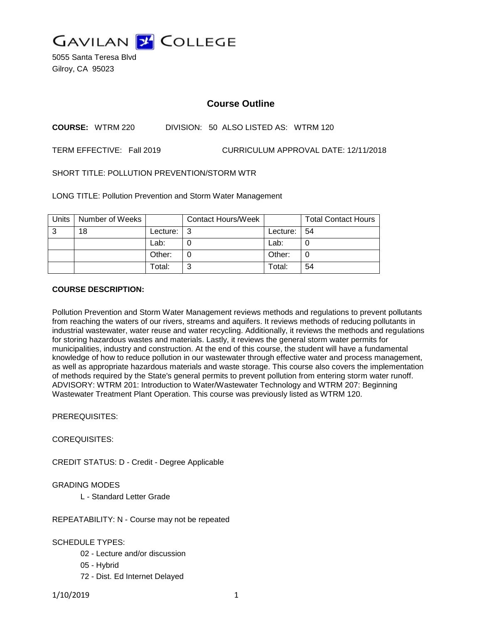

5055 Santa Teresa Blvd Gilroy, CA 95023

## **Course Outline**

**COURSE:** WTRM 220 DIVISION: 50 ALSO LISTED AS: WTRM 120

TERM EFFECTIVE: Fall 2019 CURRICULUM APPROVAL DATE: 12/11/2018

SHORT TITLE: POLLUTION PREVENTION/STORM WTR

LONG TITLE: Pollution Prevention and Storm Water Management

| <b>Units</b> | Number of Weeks |          | <b>Contact Hours/Week</b> |          | <b>Total Contact Hours</b> |
|--------------|-----------------|----------|---------------------------|----------|----------------------------|
| ົ            | 18              | Lecture: | ີ                         | Lecture: | -54                        |
|              |                 | Lab:     |                           | Lab:     |                            |
|              |                 | Other:   |                           | Other:   | C                          |
|              |                 | Total:   | ⌒                         | Total:   | 54                         |

## **COURSE DESCRIPTION:**

Pollution Prevention and Storm Water Management reviews methods and regulations to prevent pollutants from reaching the waters of our rivers, streams and aquifers. It reviews methods of reducing pollutants in industrial wastewater, water reuse and water recycling. Additionally, it reviews the methods and regulations for storing hazardous wastes and materials. Lastly, it reviews the general storm water permits for municipalities, industry and construction. At the end of this course, the student will have a fundamental knowledge of how to reduce pollution in our wastewater through effective water and process management, as well as appropriate hazardous materials and waste storage. This course also covers the implementation of methods required by the State's general permits to prevent pollution from entering storm water runoff. ADVISORY: WTRM 201: Introduction to Water/Wastewater Technology and WTRM 207: Beginning Wastewater Treatment Plant Operation. This course was previously listed as WTRM 120.

PREREQUISITES:

COREQUISITES:

CREDIT STATUS: D - Credit - Degree Applicable

## GRADING MODES

L - Standard Letter Grade

REPEATABILITY: N - Course may not be repeated

SCHEDULE TYPES:

- 02 Lecture and/or discussion
- 05 Hybrid
- 72 Dist. Ed Internet Delayed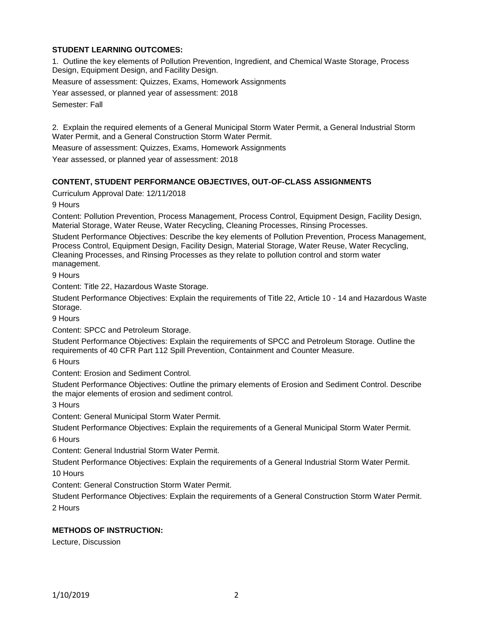## **STUDENT LEARNING OUTCOMES:**

1. Outline the key elements of Pollution Prevention, Ingredient, and Chemical Waste Storage, Process Design, Equipment Design, and Facility Design.

Measure of assessment: Quizzes, Exams, Homework Assignments

Year assessed, or planned year of assessment: 2018 Semester: Fall

2. Explain the required elements of a General Municipal Storm Water Permit, a General Industrial Storm Water Permit, and a General Construction Storm Water Permit.

Measure of assessment: Quizzes, Exams, Homework Assignments

Year assessed, or planned year of assessment: 2018

## **CONTENT, STUDENT PERFORMANCE OBJECTIVES, OUT-OF-CLASS ASSIGNMENTS**

Curriculum Approval Date: 12/11/2018

9 Hours

Content: Pollution Prevention, Process Management, Process Control, Equipment Design, Facility Design, Material Storage, Water Reuse, Water Recycling, Cleaning Processes, Rinsing Processes.

Student Performance Objectives: Describe the key elements of Pollution Prevention, Process Management, Process Control, Equipment Design, Facility Design, Material Storage, Water Reuse, Water Recycling, Cleaning Processes, and Rinsing Processes as they relate to pollution control and storm water management.

9 Hours

Content: Title 22, Hazardous Waste Storage.

Student Performance Objectives: Explain the requirements of Title 22, Article 10 - 14 and Hazardous Waste Storage.

9 Hours

Content: SPCC and Petroleum Storage.

Student Performance Objectives: Explain the requirements of SPCC and Petroleum Storage. Outline the requirements of 40 CFR Part 112 Spill Prevention, Containment and Counter Measure.

6 Hours

Content: Erosion and Sediment Control.

Student Performance Objectives: Outline the primary elements of Erosion and Sediment Control. Describe the major elements of erosion and sediment control.

3 Hours

Content: General Municipal Storm Water Permit.

Student Performance Objectives: Explain the requirements of a General Municipal Storm Water Permit. 6 Hours

Content: General Industrial Storm Water Permit.

Student Performance Objectives: Explain the requirements of a General Industrial Storm Water Permit. 10 Hours

Content: General Construction Storm Water Permit.

Student Performance Objectives: Explain the requirements of a General Construction Storm Water Permit. 2 Hours

## **METHODS OF INSTRUCTION:**

Lecture, Discussion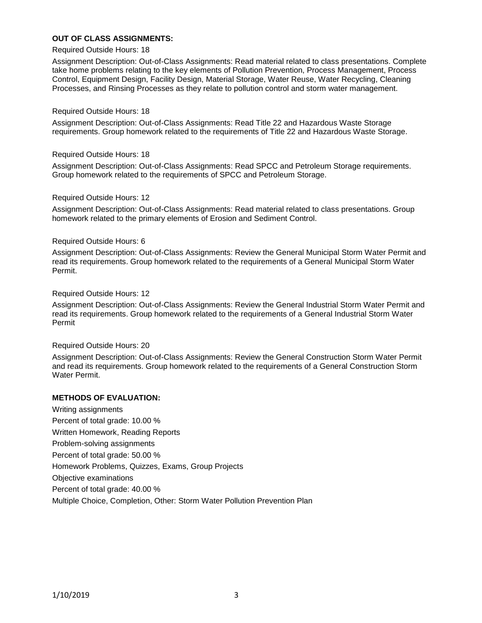## **OUT OF CLASS ASSIGNMENTS:**

#### Required Outside Hours: 18

Assignment Description: Out-of-Class Assignments: Read material related to class presentations. Complete take home problems relating to the key elements of Pollution Prevention, Process Management, Process Control, Equipment Design, Facility Design, Material Storage, Water Reuse, Water Recycling, Cleaning Processes, and Rinsing Processes as they relate to pollution control and storm water management.

#### Required Outside Hours: 18

Assignment Description: Out-of-Class Assignments: Read Title 22 and Hazardous Waste Storage requirements. Group homework related to the requirements of Title 22 and Hazardous Waste Storage.

#### Required Outside Hours: 18

Assignment Description: Out-of-Class Assignments: Read SPCC and Petroleum Storage requirements. Group homework related to the requirements of SPCC and Petroleum Storage.

#### Required Outside Hours: 12

Assignment Description: Out-of-Class Assignments: Read material related to class presentations. Group homework related to the primary elements of Erosion and Sediment Control.

#### Required Outside Hours: 6

Assignment Description: Out-of-Class Assignments: Review the General Municipal Storm Water Permit and read its requirements. Group homework related to the requirements of a General Municipal Storm Water Permit.

#### Required Outside Hours: 12

Assignment Description: Out-of-Class Assignments: Review the General Industrial Storm Water Permit and read its requirements. Group homework related to the requirements of a General Industrial Storm Water Permit

#### Required Outside Hours: 20

Assignment Description: Out-of-Class Assignments: Review the General Construction Storm Water Permit and read its requirements. Group homework related to the requirements of a General Construction Storm Water Permit.

#### **METHODS OF EVALUATION:**

Writing assignments Percent of total grade: 10.00 % Written Homework, Reading Reports Problem-solving assignments Percent of total grade: 50.00 % Homework Problems, Quizzes, Exams, Group Projects Objective examinations Percent of total grade: 40.00 % Multiple Choice, Completion, Other: Storm Water Pollution Prevention Plan